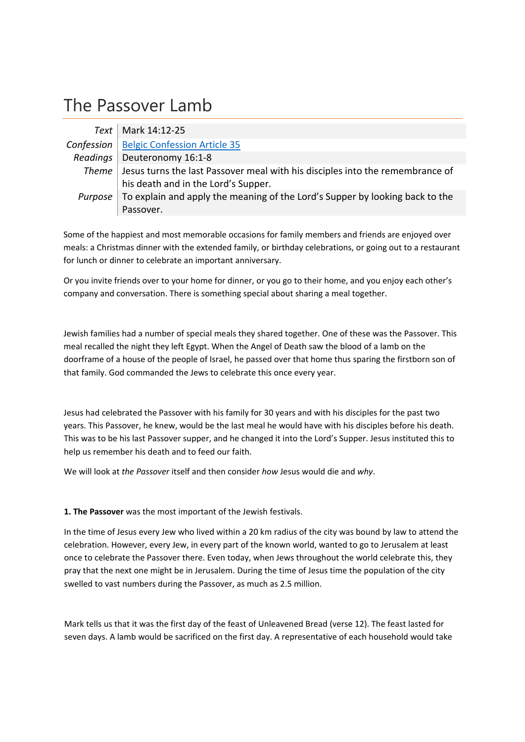## The Passover Lamb

| Text       | Mark 14:12-25                                                                         |
|------------|---------------------------------------------------------------------------------------|
| Confession | <b>Belgic Confession Article 35</b>                                                   |
| Readings   | Deuteronomy 16:1-8                                                                    |
|            | Theme   Jesus turns the last Passover meal with his disciples into the remembrance of |
|            | his death and in the Lord's Supper.                                                   |
| Purpose    | To explain and apply the meaning of the Lord's Supper by looking back to the          |
|            | Passover.                                                                             |

Some of the happiest and most memorable occasions for family members and friends are enjoyed over meals: a Christmas dinner with the extended family, or birthday celebrations, or going out to a restaurant for lunch or dinner to celebrate an important anniversary.

Or you invite friends over to your home for dinner, or you go to their home, and you enjoy each other's company and conversation. There is something special about sharing a meal together.

Jewish families had a number of special meals they shared together. One of these was the Passover. This meal recalled the night they left Egypt. When the Angel of Death saw the blood of a lamb on the doorframe of a house of the people of Israel, he passed over that home thus sparing the firstborn son of that family. God commanded the Jews to celebrate this once every year.

Jesus had celebrated the Passover with his family for 30 years and with his disciples for the past two years. This Passover, he knew, would be the last meal he would have with his disciples before his death. This was to be his last Passover supper, and he changed it into the Lord's Supper. Jesus instituted this to help us remember his death and to feed our faith.

We will look at *the Passover* itself and then consider *how* Jesus would die and *why*.

**1. The Passover** was the most important of the Jewish festivals.

In the time of Jesus every Jew who lived within a 20 km radius of the city was bound by law to attend the celebration. However, every Jew, in every part of the known world, wanted to go to Jerusalem at least once to celebrate the Passover there. Even today, when Jews throughout the world celebrate this, they pray that the next one might be in Jerusalem. During the time of Jesus time the population of the city swelled to vast numbers during the Passover, as much as 2.5 million.

Mark tells us that it was the first day of the feast of Unleavened Bread (verse 12). The feast lasted for seven days. A lamb would be sacrificed on the first day. A representative of each household would take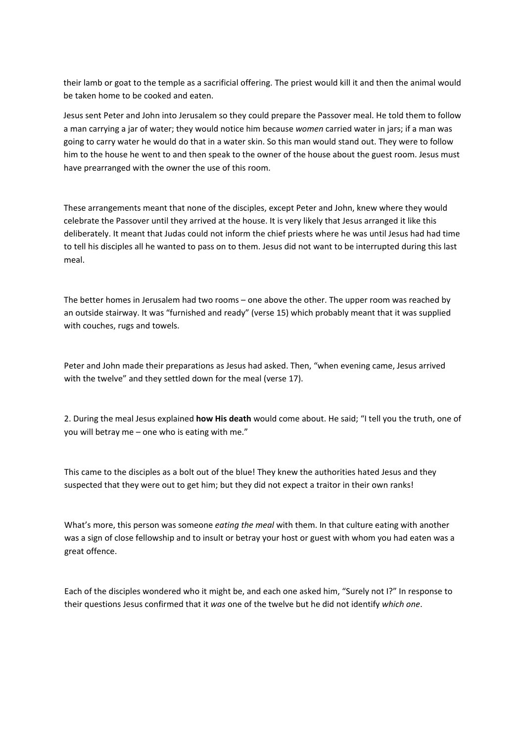their lamb or goat to the temple as a sacrificial offering. The priest would kill it and then the animal would be taken home to be cooked and eaten.

Jesus sent Peter and John into Jerusalem so they could prepare the Passover meal. He told them to follow a man carrying a jar of water; they would notice him because *women* carried water in jars; if a man was going to carry water he would do that in a water skin. So this man would stand out. They were to follow him to the house he went to and then speak to the owner of the house about the guest room. Jesus must have prearranged with the owner the use of this room.

These arrangements meant that none of the disciples, except Peter and John, knew where they would celebrate the Passover until they arrived at the house. It is very likely that Jesus arranged it like this deliberately. It meant that Judas could not inform the chief priests where he was until Jesus had had time to tell his disciples all he wanted to pass on to them. Jesus did not want to be interrupted during this last meal.

The better homes in Jerusalem had two rooms – one above the other. The upper room was reached by an outside stairway. It was "furnished and ready" (verse 15) which probably meant that it was supplied with couches, rugs and towels.

Peter and John made their preparations as Jesus had asked. Then, "when evening came, Jesus arrived with the twelve" and they settled down for the meal (verse 17).

2. During the meal Jesus explained **how His death** would come about. He said; "I tell you the truth, one of you will betray me – one who is eating with me."

This came to the disciples as a bolt out of the blue! They knew the authorities hated Jesus and they suspected that they were out to get him; but they did not expect a traitor in their own ranks!

What's more, this person was someone *eating the meal* with them. In that culture eating with another was a sign of close fellowship and to insult or betray your host or guest with whom you had eaten was a great offence.

Each of the disciples wondered who it might be, and each one asked him, "Surely not I?" In response to their questions Jesus confirmed that it *was* one of the twelve but he did not identify *which one*.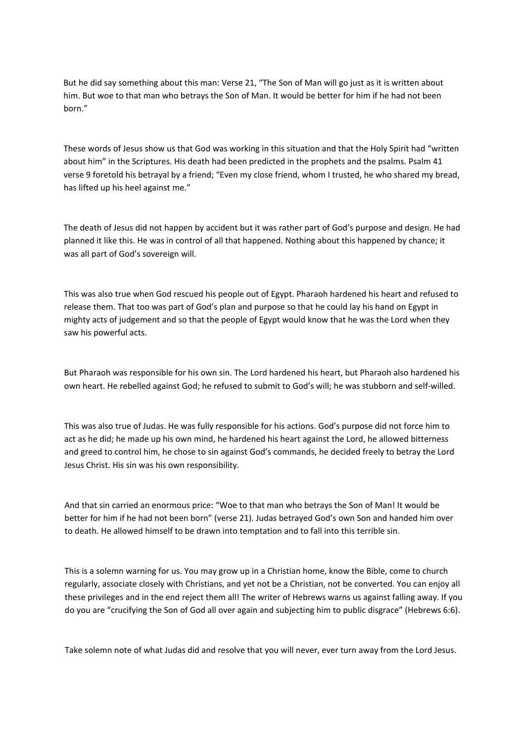But he did say something about this man: Verse 21, "The Son of Man will go just as it is written about him. But woe to that man who betrays the Son of Man. It would be better for him if he had not been born."

These words of Jesus show us that God was working in this situation and that the Holy Spirit had "written about him" in the Scriptures. His death had been predicted in the prophets and the psalms. Psalm 41 verse 9 foretold his betrayal by a friend; "Even my close friend, whom I trusted, he who shared my bread, has lifted up his heel against me."

The death of Jesus did not happen by accident but it was rather part of God's purpose and design. He had planned it like this. He was in control of all that happened. Nothing about this happened by chance; it was all part of God's sovereign will.

This was also true when God rescued his people out of Egypt. Pharaoh hardened his heart and refused to release them. That too was part of God's plan and purpose so that he could lay his hand on Egypt in mighty acts of judgement and so that the people of Egypt would know that he was the Lord when they saw his powerful acts.

But Pharaoh was responsible for his own sin. The Lord hardened his heart, but Pharaoh also hardened his own heart. He rebelled against God; he refused to submit to God's will; he was stubborn and self‐willed.

This was also true of Judas. He was fully responsible for his actions. God's purpose did not force him to act as he did; he made up his own mind, he hardened his heart against the Lord, he allowed bitterness and greed to control him, he chose to sin against God's commands, he decided freely to betray the Lord Jesus Christ. His sin was his own responsibility.

And that sin carried an enormous price: "Woe to that man who betrays the Son of Man! It would be better for him if he had not been born" (verse 21). Judas betrayed God's own Son and handed him over to death. He allowed himself to be drawn into temptation and to fall into this terrible sin.

This is a solemn warning for us. You may grow up in a Christian home, know the Bible, come to church regularly, associate closely with Christians, and yet not be a Christian, not be converted. You can enjoy all these privileges and in the end reject them all! The writer of Hebrews warns us against falling away. If you do you are "crucifying the Son of God all over again and subjecting him to public disgrace" (Hebrews 6:6).

Take solemn note of what Judas did and resolve that you will never, ever turn away from the Lord Jesus.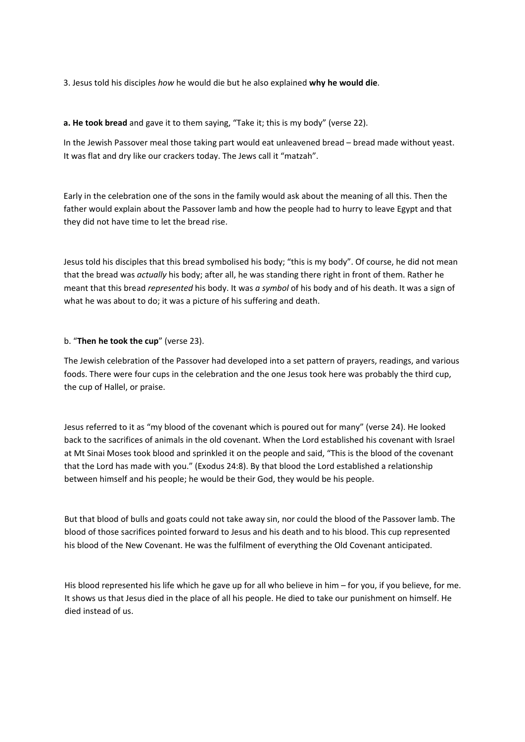3. Jesus told his disciples *how* he would die but he also explained **why he would die**.

**a. He took bread** and gave it to them saying, "Take it; this is my body" (verse 22).

In the Jewish Passover meal those taking part would eat unleavened bread – bread made without yeast. It was flat and dry like our crackers today. The Jews call it "matzah".

Early in the celebration one of the sons in the family would ask about the meaning of all this. Then the father would explain about the Passover lamb and how the people had to hurry to leave Egypt and that they did not have time to let the bread rise.

Jesus told his disciples that this bread symbolised his body; "this is my body". Of course, he did not mean that the bread was *actually* his body; after all, he was standing there right in front of them. Rather he meant that this bread *represented* his body. It was *a symbol* of his body and of his death. It was a sign of what he was about to do; it was a picture of his suffering and death.

## b. "**Then he took the cup**" (verse 23).

The Jewish celebration of the Passover had developed into a set pattern of prayers, readings, and various foods. There were four cups in the celebration and the one Jesus took here was probably the third cup, the cup of Hallel, or praise.

Jesus referred to it as "my blood of the covenant which is poured out for many" (verse 24). He looked back to the sacrifices of animals in the old covenant. When the Lord established his covenant with Israel at Mt Sinai Moses took blood and sprinkled it on the people and said, "This is the blood of the covenant that the Lord has made with you." (Exodus 24:8). By that blood the Lord established a relationship between himself and his people; he would be their God, they would be his people.

But that blood of bulls and goats could not take away sin, nor could the blood of the Passover lamb. The blood of those sacrifices pointed forward to Jesus and his death and to his blood. This cup represented his blood of the New Covenant. He was the fulfilment of everything the Old Covenant anticipated.

His blood represented his life which he gave up for all who believe in him – for you, if you believe, for me. It shows us that Jesus died in the place of all his people. He died to take our punishment on himself. He died instead of us.